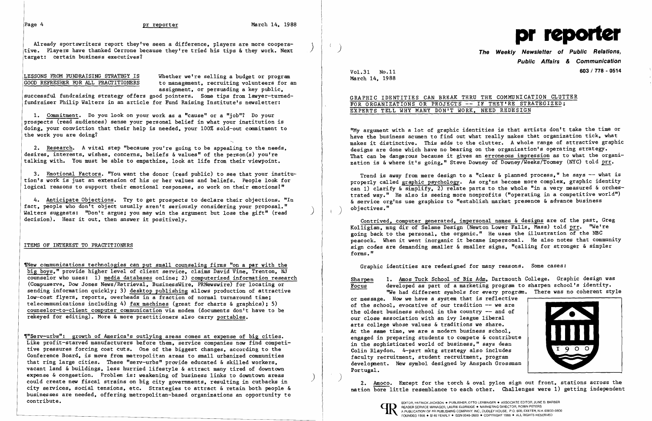Already sportswriters report they've seen a difference, players are more cooperative. Players have thanked Cerrone because they're tried his tips & they work. Next target: certain business executives?

LESSONS FROM FUNDRAISING STRATEGY IS Whether we're selling a budget or program<br>GOOD REFRESHER FOR ALL PRACTITIONERS to management, recruiting volunteers for a to management. recruiting volunteers for an assignment. or persuading a key public.

successful fundraising strategy offers good pointers. Some tips from 1awyer-turnedfundraiser Philip Walters in an article for Fund Raising Institute's newsletter:

1. Commitment. Do you look on your work as a "cause" or a "job"? Do your prospects (read audiences) sense your personal belief in what your institution is doing. your conviction that their help is needed. your 100% sold-out canmitment to the work you are doing?

3. Emotional Factors. "You want the donor (read public) to see that your institution's work is just an extension of his or her values and beliefs. People look for logical reasons to support their emotional responses. so work on their emotions!"

~ew communications technologies can put small counseling firms "on a par with the big boys." provide higher level of client service. claims David Vine. Trenton. NJ counselor who uses: 1) media databases online: 2) computerized information research (Compuserve. Dow Jones News/Retrieval. BusinessWire. PRNewswire) for locating or sending information quickly: 3) desktop publishing allows production of attractive low-cost flyers. reports. overheads in a fraction of normal turnaround time: telecommunications including 4) fax machines (great for charts & graphics): 5) counse10r-to-c1ient computer communication via modem (documents don't have to be rekeyed for editing). More & more practitioners also carry portables.

2. Research. A vital step "because you're going to be appealing to the needs. desires. interests, wishes, concerns, beliefs  $\&$  values" of the person(s) you're talking with. You must be able to empathize. look at life from their viewpoint.

4. Anticipate Objections. Try to get prospects to declare their objections. "In fact. people who don't object usually aren't seriously considering your proposal." Walters suggests: "Don't argue; you may win the argument but lose the gift" (read decision). Hear it out. then answer it positively.

## ITEMS OF INTEREST TO PRACTITIONERS

) 2. Amoco. Except for the torch & oval pylon sign out front. stations across the nation bore little resemblance to each other. Challenges were 1) getting independent



**Public Affairs & Communication**  Vol. 31 No.ll March 14. 1988 **603/778 - 0514** 

GRAPHIC IDENTITIES CAN BREAK THRU THE COMMUNICATION CLUTTER

## FOR ORGANIZATIONS OR PROJECTS -- IF THEY'RE STRATEGIZED: EXPERTS TELL WHY MANY DON'T WORK. NEED REDESIGN

"My argument with a lot of graphic identities is that artists don't take the time or have the business acumen to find out what really makes that organization tick. what makes it distinctive. This adds to the clutter. A whole range of attractive graphic designs are done which have no bearing on the organization's operating strategy. That can be dangerous because it gives an erroneous impression as to what the organization is & where it's going." Steve Downey of Downey/Weeks/Toomey (NYC) told prr.

Trend is away from mere design to a "clear  $\&$  planned process," he says -- what is properly called graphic psychology. As org'ns become more complex. graphic identity can 1) clarify & simplify. 2) relate parts to the whole "in a very measured & orchestrated way." He also is seeing more nonprofits ("operating in a competitive world") & service org'ns use graphics to "establish market presence & advance business objectives."

-,r"Serv-urbs": growth of America's outlying areas comes at expense of big cities. Like profit-starved manufacturers before them. service companies now find competitive pressures forcing cost cuts. One of the biggest changes. according to the Conference Board. is move from metropolitan areas to small urbanized communities that ring large cities. These "serv-urbs" provide educated & skilled workers. vacant land & buildings, less hurried lifestyle & attract many tired of downtown<br>expense & congestion. Problem is: weakening of business links to downtown areas could create new fiscal strains on big city governments. resulting in cutbacks in city services. social tensions. etc. Strategies to attract & retain both people & businesses are needed. offering metropolitan-based organizations an opportunity to

Contrived. computer generated. impersonal names & designs are of the past. Greg Kolligian, mng dir of Selame Design (Newton Lower Falls, Mass) told prr. "We're going back to the personal. the organic." He uses the illustration of the NBC peacock. When it went inorganic it became impersonal. He also notes that community sign codes are demanding smaller & smaller signs. "calling for stronger & simpler forms."

Graphic identities are redesigned for many reasons. Some cases:

Sharpen 1. Amos Tuck School of Biz Adm, Dartmouth College. Graphic design was Focus developed as part of a marketing program to sharpen school's identity. "We had different symbols for every program. There was no coherent style

or message. Now we have a system that is reflective of the school. evocative of our tradition -- we are the oldest business school in the country  $-$  and of our close association with an ivy league liberal arts college whose values & traditions we share. At the same time, we are a modern business school, engaged in preparing students to compete & contribute in the sophisticated world of business." says dean Colin B1aydon. 4-part mktg strategy also includes faculty recruitment. student recruitment. program development. New symbol designed by Anspach Grossman Portugal.